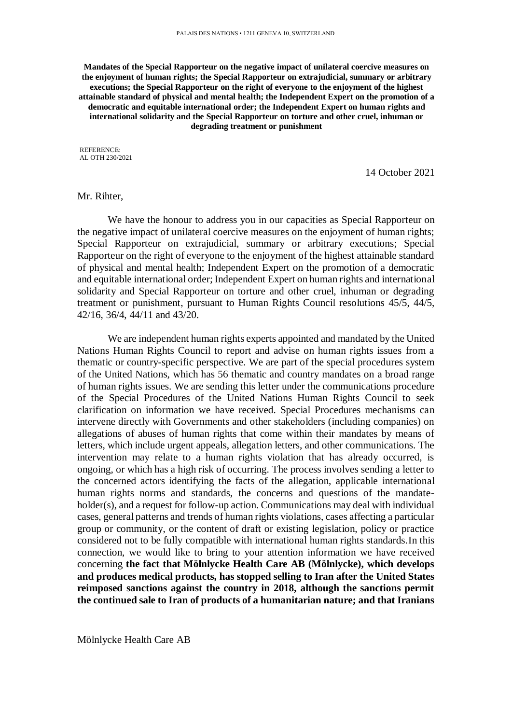**Mandates of the Special Rapporteur on the negative impact of unilateral coercive measures on the enjoyment of human rights; the Special Rapporteur on extrajudicial, summary or arbitrary executions; the Special Rapporteur on the right of everyone to the enjoyment of the highest attainable standard of physical and mental health; the Independent Expert on the promotion of a democratic and equitable international order; the Independent Expert on human rights and international solidarity and the Special Rapporteur on torture and other cruel, inhuman or degrading treatment or punishment**

REFERENCE: AL OTH 230/2021

14 October 2021

## Mr. Rihter,

We have the honour to address you in our capacities as Special Rapporteur on the negative impact of unilateral coercive measures on the enjoyment of human rights; Special Rapporteur on extrajudicial, summary or arbitrary executions; Special Rapporteur on the right of everyone to the enjoyment of the highest attainable standard of physical and mental health; Independent Expert on the promotion of a democratic and equitable international order; Independent Expert on human rights and international solidarity and Special Rapporteur on torture and other cruel, inhuman or degrading treatment or punishment, pursuant to Human Rights Council resolutions 45/5, 44/5, 42/16, 36/4, 44/11 and 43/20.

We are independent human rights experts appointed and mandated by the United Nations Human Rights Council to report and advise on human rights issues from a thematic or country-specific perspective. We are part of the special procedures system of the United Nations, which has 56 thematic and country mandates on a broad range of human rights issues. We are sending this letter under the communications procedure of the Special Procedures of the United Nations Human Rights Council to seek clarification on information we have received. Special Procedures mechanisms can intervene directly with Governments and other stakeholders (including companies) on allegations of abuses of human rights that come within their mandates by means of letters, which include urgent appeals, allegation letters, and other communications. The intervention may relate to a human rights violation that has already occurred, is ongoing, or which has a high risk of occurring. The process involves sending a letter to the concerned actors identifying the facts of the allegation, applicable international human rights norms and standards, the concerns and questions of the mandateholder(s), and a request for follow-up action. Communications may deal with individual cases, general patterns and trends of human rights violations, cases affecting a particular group or community, or the content of draft or existing legislation, policy or practice considered not to be fully compatible with international human rights standards.In this connection, we would like to bring to your attention information we have received concerning **the fact that Mölnlycke Health Care AB (Mölnlycke), which develops and produces medical products, has stopped selling to Iran after the United States reimposed sanctions against the country in 2018, although the sanctions permit the continued sale to Iran of products of a humanitarian nature; and that Iranians**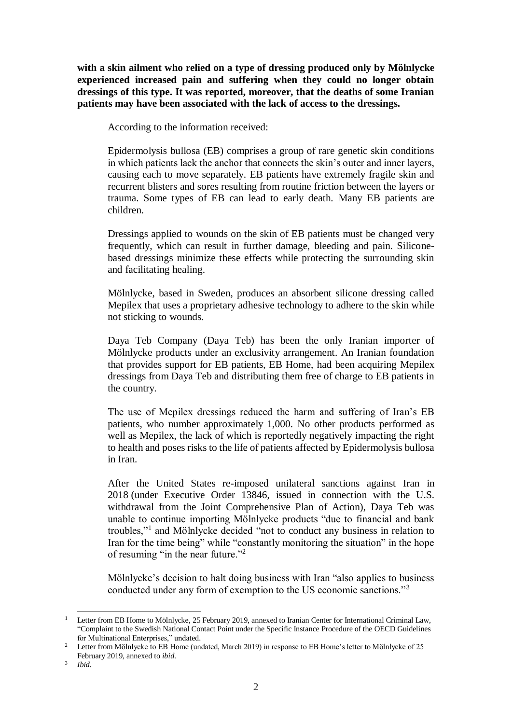**with a skin ailment who relied on a type of dressing produced only by Mölnlycke experienced increased pain and suffering when they could no longer obtain dressings of this type. It was reported, moreover, that the deaths of some Iranian patients may have been associated with the lack of access to the dressings.**

According to the information received:

Epidermolysis bullosa (EB) comprises a group of rare genetic skin conditions in which patients lack the anchor that connects the skin's outer and inner layers, causing each to move separately. EB patients have extremely fragile skin and recurrent blisters and sores resulting from routine friction between the layers or trauma. Some types of EB can lead to early death. Many EB patients are children.

Dressings applied to wounds on the skin of EB patients must be changed very frequently, which can result in further damage, bleeding and pain. Siliconebased dressings minimize these effects while protecting the surrounding skin and facilitating healing.

Mölnlycke, based in Sweden, produces an absorbent silicone dressing called Mepilex that uses a proprietary adhesive technology to adhere to the skin while not sticking to wounds.

Daya Teb Company (Daya Teb) has been the only Iranian importer of Mölnlycke products under an exclusivity arrangement. An Iranian foundation that provides support for EB patients, EB Home, had been acquiring Mepilex dressings from Daya Teb and distributing them free of charge to EB patients in the country.

The use of Mepilex dressings reduced the harm and suffering of Iran's EB patients, who number approximately 1,000. No other products performed as well as Mepilex, the lack of which is reportedly negatively impacting the right to health and poses risks to the life of patients affected by Epidermolysis bullosa in Iran.

After the United States re-imposed unilateral sanctions against Iran in 2018 (under Executive Order 13846, issued in connection with the U.S. withdrawal from the Joint Comprehensive Plan of Action), Daya Teb was unable to continue importing Mölnlycke products "due to financial and bank troubles,"<sup>1</sup> and Mölnlycke decided "not to conduct any business in relation to Iran for the time being" while "constantly monitoring the situation" in the hope of resuming "in the near future."<sup>2</sup>

Mölnlycke's decision to halt doing business with Iran "also applies to business conducted under any form of exemption to the US economic sanctions."<sup>3</sup>

<sup>&</sup>lt;sup>1</sup> Letter from EB Home to Mölnlycke, 25 February 2019, annexed to Iranian Center for International Criminal Law, "Complaint to the Swedish National Contact Point under the Specific Instance Procedure of the OECD Guidelines for Multinational Enterprises," undated.

<sup>&</sup>lt;sup>2</sup> Letter from Mölnlycke to EB Home (undated, March 2019) in response to EB Home's letter to Mölnlycke of 25 February 2019, annexed to *ibid*.

<sup>3</sup> *Ibid.*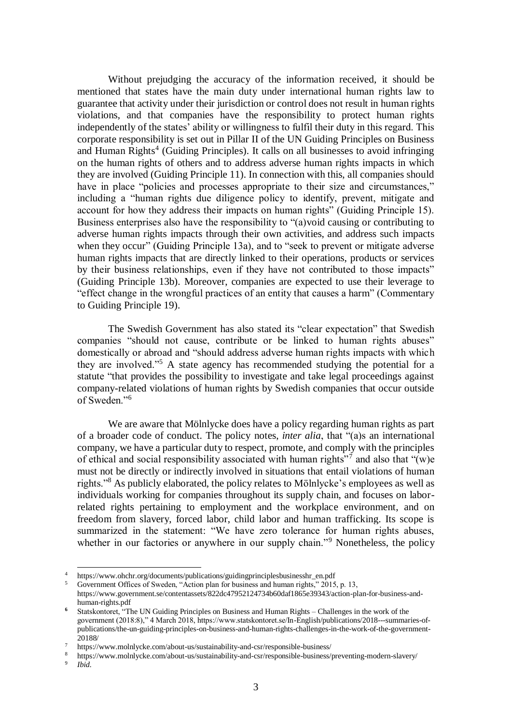Without prejudging the accuracy of the information received, it should be mentioned that states have the main duty under international human rights law to guarantee that activity under their jurisdiction or control does not result in human rights violations, and that companies have the responsibility to protect human rights independently of the states' ability or willingness to fulfil their duty in this regard. This corporate responsibility is set out in Pillar II of the UN Guiding Principles on Business and Human Rights<sup>4</sup> (Guiding Principles). It calls on all businesses to avoid infringing on the human rights of others and to address adverse human rights impacts in which they are involved (Guiding Principle 11). In connection with this, all companies should have in place "policies and processes appropriate to their size and circumstances," including a "human rights due diligence policy to identify, prevent, mitigate and account for how they address their impacts on human rights" (Guiding Principle 15). Business enterprises also have the responsibility to "(a)void causing or contributing to adverse human rights impacts through their own activities, and address such impacts when they occur" (Guiding Principle 13a), and to "seek to prevent or mitigate adverse human rights impacts that are directly linked to their operations, products or services by their business relationships, even if they have not contributed to those impacts" (Guiding Principle 13b). Moreover, companies are expected to use their leverage to "effect change in the wrongful practices of an entity that causes a harm" (Commentary to Guiding Principle 19).

The Swedish Government has also stated its "clear expectation" that Swedish companies "should not cause, contribute or be linked to human rights abuses" domestically or abroad and "should address adverse human rights impacts with which they are involved."<sup>5</sup> A state agency has recommended studying the potential for a statute "that provides the possibility to investigate and take legal proceedings against company-related violations of human rights by Swedish companies that occur outside of Sweden."<sup>6</sup>

We are aware that Mölnlycke does have a policy regarding human rights as part of a broader code of conduct. The policy notes, *inter alia*, that "(a)s an international company, we have a particular duty to respect, promote, and comply with the principles of ethical and social responsibility associated with human rights"<sup>7</sup> and also that "(w)e must not be directly or indirectly involved in situations that entail violations of human rights."<sup>8</sup> As publicly elaborated, the policy relates to Mölnlycke's employees as well as individuals working for companies throughout its supply chain, and focuses on laborrelated rights pertaining to employment and the workplace environment, and on freedom from slavery, forced labor, child labor and human trafficking. Its scope is summarized in the statement: "We have zero tolerance for human rights abuses, whether in our factories or anywhere in our supply chain."<sup>9</sup> Nonetheless, the policy

<sup>4</sup> https://www.ohchr.org/documents/publications/guidingprinciplesbusinesshr\_en.pdf

<sup>5</sup> Government Offices of Sweden, "Action plan for business and human rights," 2015, p. 13,

https://www.government.se/contentassets/822dc47952124734b60daf1865e39343/action-plan-for-business-andhuman-rights.pdf

**<sup>6</sup>** Statskontoret, "The UN Guiding Principles on Business and Human Rights – Challenges in the work of the government (2018:8)," 4 March 2018, https://www.statskontoret.se/In-English/publications/2018---summaries-ofpublications/the-un-guiding-principles-on-business-and-human-rights-challenges-in-the-work-of-the-government-20188/

<sup>7</sup> https://www.molnlycke.com/about-us/sustainability-and-csr/responsible-business/

<sup>8</sup> https://www.molnlycke.com/about-us/sustainability-and-csr/responsible-business/preventing-modern-slavery/

<sup>9</sup> *Ibid.*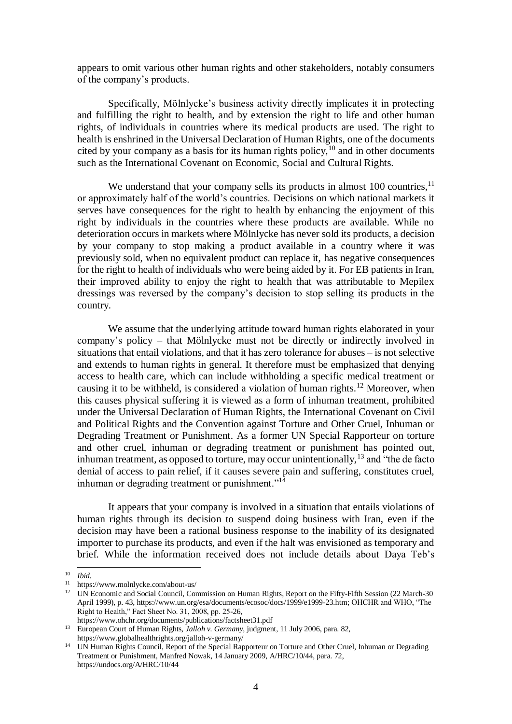appears to omit various other human rights and other stakeholders, notably consumers of the company's products.

Specifically, Mölnlycke's business activity directly implicates it in protecting and fulfilling the right to health, and by extension the right to life and other human rights, of individuals in countries where its medical products are used. The right to health is enshrined in the Universal Declaration of Human Rights, one of the documents cited by your company as a basis for its human rights policy,  $10$  and in other documents such as the International Covenant on Economic, Social and Cultural Rights.

We understand that your company sells its products in almost  $100$  countries,  $11$ or approximately half of the world's countries. Decisions on which national markets it serves have consequences for the right to health by enhancing the enjoyment of this right by individuals in the countries where these products are available. While no deterioration occurs in markets where Mölnlycke has never sold its products, a decision by your company to stop making a product available in a country where it was previously sold, when no equivalent product can replace it, has negative consequences for the right to health of individuals who were being aided by it. For EB patients in Iran, their improved ability to enjoy the right to health that was attributable to Mepilex dressings was reversed by the company's decision to stop selling its products in the country.

We assume that the underlying attitude toward human rights elaborated in your company's policy – that Mölnlycke must not be directly or indirectly involved in situations that entail violations, and that it has zero tolerance for abuses – is not selective and extends to human rights in general. It therefore must be emphasized that denying access to health care, which can include withholding a specific medical treatment or causing it to be withheld, is considered a violation of human rights.<sup>12</sup> Moreover, when this causes physical suffering it is viewed as a form of inhuman treatment, prohibited under the Universal Declaration of Human Rights, the International Covenant on Civil and Political Rights and the Convention against Torture and Other Cruel, Inhuman or Degrading Treatment or Punishment. As a former UN Special Rapporteur on torture and other cruel, inhuman or degrading treatment or punishment has pointed out, inhuman treatment, as opposed to torture, may occur unintentionally,  $^{13}$  and "the de facto" denial of access to pain relief, if it causes severe pain and suffering, constitutes cruel, inhuman or degrading treatment or punishment."<sup>14</sup>

It appears that your company is involved in a situation that entails violations of human rights through its decision to suspend doing business with Iran, even if the decision may have been a rational business response to the inability of its designated importer to purchase its products, and even if the halt was envisioned as temporary and brief. While the information received does not include details about Daya Teb's

l <sup>10</sup> *Ibid.*

<sup>11</sup> https://www.molnlycke.com/about-us/

<sup>&</sup>lt;sup>12</sup> UN Economic and Social Council, Commission on Human Rights, Report on the Fifty-Fifth Session (22 March-30 April 1999), p. 43, [https://www.un.org/esa/documents/ecosoc/docs/1999/e1999-23.htm;](https://www.un.org/esa/documents/ecosoc/docs/1999/e1999-23.htm) OHCHR and WHO, "The Right to Health," Fact Sheet No. 31, 2008, pp. 25-26,

https://www.ohchr.org/documents/publications/factsheet31.pdf

<sup>&</sup>lt;sup>13</sup> European Court of Human Rights, *Jalloh v. Germany*, judgment, 11 July 2006, para. 82, https://www.globalhealthrights.org/jalloh-v-germany/

<sup>&</sup>lt;sup>14</sup> UN Human Rights Council, Report of the Special Rapporteur on Torture and Other Cruel, Inhuman or Degrading Treatment or Punishment, Manfred Nowak, 14 January 2009, A/HRC/10/44, para. 72, https://undocs.org/A/HRC/10/44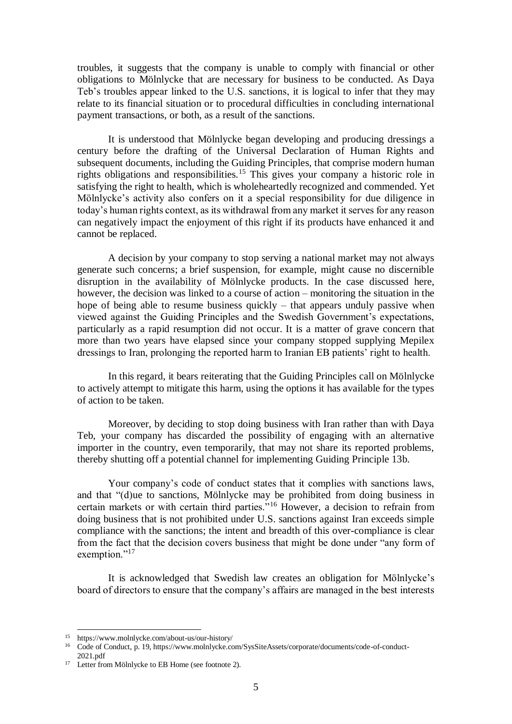troubles, it suggests that the company is unable to comply with financial or other obligations to Mölnlycke that are necessary for business to be conducted. As Daya Teb's troubles appear linked to the U.S. sanctions, it is logical to infer that they may relate to its financial situation or to procedural difficulties in concluding international payment transactions, or both, as a result of the sanctions.

It is understood that Mölnlycke began developing and producing dressings a century before the drafting of the Universal Declaration of Human Rights and subsequent documents, including the Guiding Principles, that comprise modern human rights obligations and responsibilities.<sup>15</sup> This gives your company a historic role in satisfying the right to health, which is wholeheartedly recognized and commended. Yet Mölnlycke's activity also confers on it a special responsibility for due diligence in today's human rights context, as its withdrawal from any market it serves for any reason can negatively impact the enjoyment of this right if its products have enhanced it and cannot be replaced.

A decision by your company to stop serving a national market may not always generate such concerns; a brief suspension, for example, might cause no discernible disruption in the availability of Mölnlycke products. In the case discussed here, however, the decision was linked to a course of action – monitoring the situation in the hope of being able to resume business quickly – that appears unduly passive when viewed against the Guiding Principles and the Swedish Government's expectations, particularly as a rapid resumption did not occur. It is a matter of grave concern that more than two years have elapsed since your company stopped supplying Mepilex dressings to Iran, prolonging the reported harm to Iranian EB patients' right to health.

In this regard, it bears reiterating that the Guiding Principles call on Mölnlycke to actively attempt to mitigate this harm, using the options it has available for the types of action to be taken.

Moreover, by deciding to stop doing business with Iran rather than with Daya Teb, your company has discarded the possibility of engaging with an alternative importer in the country, even temporarily, that may not share its reported problems, thereby shutting off a potential channel for implementing Guiding Principle 13b.

Your company's code of conduct states that it complies with sanctions laws, and that "(d)ue to sanctions, Mölnlycke may be prohibited from doing business in certain markets or with certain third parties."<sup>16</sup> However, a decision to refrain from doing business that is not prohibited under U.S. sanctions against Iran exceeds simple compliance with the sanctions; the intent and breadth of this over-compliance is clear from the fact that the decision covers business that might be done under "any form of exemption."<sup>17</sup>

It is acknowledged that Swedish law creates an obligation for Mölnlycke's board of directors to ensure that the company's affairs are managed in the best interests

<sup>15</sup> https://www.molnlycke.com/about-us/our-history/

<sup>16</sup> Code of Conduct, p. 19, https://www.molnlycke.com/SysSiteAssets/corporate/documents/code-of-conduct-2021.pdf

<sup>&</sup>lt;sup>17</sup> Letter from Mölnlycke to EB Home (see footnote 2).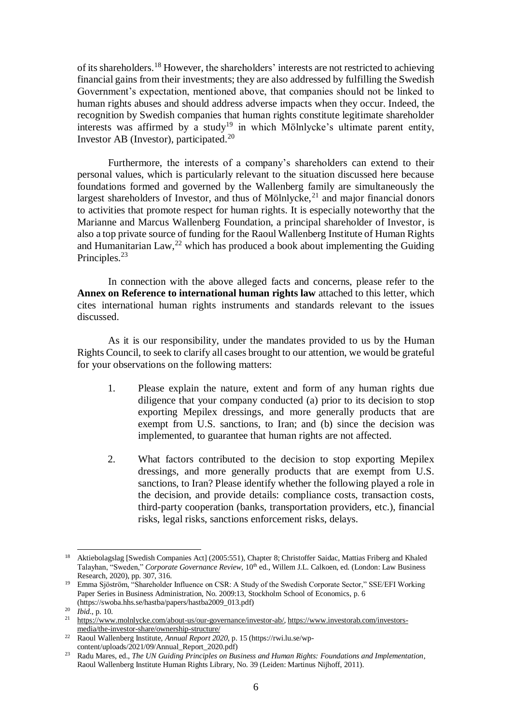of its shareholders.<sup>18</sup> However, the shareholders' interests are not restricted to achieving financial gains from their investments; they are also addressed by fulfilling the Swedish Government's expectation, mentioned above, that companies should not be linked to human rights abuses and should address adverse impacts when they occur. Indeed, the recognition by Swedish companies that human rights constitute legitimate shareholder interests was affirmed by a study<sup>19</sup> in which Mölnlycke's ultimate parent entity, Investor AB (Investor), participated.<sup>20</sup>

Furthermore, the interests of a company's shareholders can extend to their personal values, which is particularly relevant to the situation discussed here because foundations formed and governed by the Wallenberg family are simultaneously the largest shareholders of Investor, and thus of Mölnlycke,<sup>21</sup> and major financial donors to activities that promote respect for human rights. It is especially noteworthy that the Marianne and Marcus Wallenberg Foundation, a principal shareholder of Investor, is also a top private source of funding for the Raoul Wallenberg Institute of Human Rights and Humanitarian Law,  $^{22}$  which has produced a book about implementing the Guiding Principles.<sup>23</sup>

In connection with the above alleged facts and concerns, please refer to the **Annex on Reference to international human rights law** attached to this letter, which cites international human rights instruments and standards relevant to the issues discussed.

As it is our responsibility, under the mandates provided to us by the Human Rights Council, to seek to clarify all cases brought to our attention, we would be grateful for your observations on the following matters:

- 1. Please explain the nature, extent and form of any human rights due diligence that your company conducted (a) prior to its decision to stop exporting Mepilex dressings, and more generally products that are exempt from U.S. sanctions, to Iran; and (b) since the decision was implemented, to guarantee that human rights are not affected.
- 2. What factors contributed to the decision to stop exporting Mepilex dressings, and more generally products that are exempt from U.S. sanctions, to Iran? Please identify whether the following played a role in the decision, and provide details: compliance costs, transaction costs, third-party cooperation (banks, transportation providers, etc.), financial risks, legal risks, sanctions enforcement risks, delays.

<sup>18</sup> Aktiebolagslag [Swedish Companies Act] (2005:551), Chapter 8; Christoffer Saidac, Mattias Friberg and Khaled Talayhan, "Sweden," *Corporate Governance Review*, 10<sup>th</sup> ed., Willem J.L. Calkoen, ed. (London: Law Business Research, 2020), pp. 307, 316.

<sup>19</sup> Emma Sjöström, "Shareholder Influence on CSR: A Study of the Swedish Corporate Sector," SSE/EFI Working Paper Series in Business Administration, No. 2009:13, Stockholm School of Economics, p. 6 (https://swoba.hhs.se/hastba/papers/hastba2009\_013.pdf)

<sup>20</sup> *Ibid.*, p. 10.

<sup>&</sup>lt;sup>21</sup> [https://www.molnlycke.com/about-us/our-governance/investor-ab/,](https://www.molnlycke.com/about-us/our-governance/investor-ab/) [https://www.investorab.com/investors](https://www.investorab.com/investors-media/the-investor-share/ownership-structure/)[media/the-investor-share/ownership-structure/](https://www.investorab.com/investors-media/the-investor-share/ownership-structure/)

<sup>22</sup> Raoul Wallenberg Institute, *Annual Report 2020*, p. 15 (https://rwi.lu.se/wpcontent/uploads/2021/09/Annual\_Report\_2020.pdf)

<sup>23</sup> Radu Mares, ed., *The UN Guiding Principles on Business and Human Rights: Foundations and Implementation*, Raoul Wallenberg Institute Human Rights Library, No. 39 (Leiden: Martinus Nijhoff, 2011).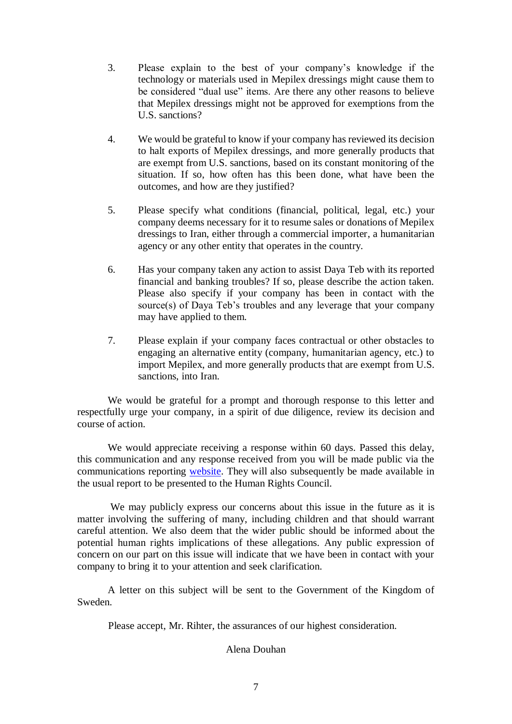- 3. Please explain to the best of your company's knowledge if the technology or materials used in Mepilex dressings might cause them to be considered "dual use" items. Are there any other reasons to believe that Mepilex dressings might not be approved for exemptions from the U.S. sanctions?
- 4. We would be grateful to know if your company has reviewed its decision to halt exports of Mepilex dressings, and more generally products that are exempt from U.S. sanctions, based on its constant monitoring of the situation. If so, how often has this been done, what have been the outcomes, and how are they justified?
- 5. Please specify what conditions (financial, political, legal, etc.) your company deems necessary for it to resume sales or donations of Mepilex dressings to Iran, either through a commercial importer, a humanitarian agency or any other entity that operates in the country.
- 6. Has your company taken any action to assist Daya Teb with its reported financial and banking troubles? If so, please describe the action taken. Please also specify if your company has been in contact with the source(s) of Daya Teb's troubles and any leverage that your company may have applied to them.
- 7. Please explain if your company faces contractual or other obstacles to engaging an alternative entity (company, humanitarian agency, etc.) to import Mepilex, and more generally products that are exempt from U.S. sanctions, into Iran.

We would be grateful for a prompt and thorough response to this letter and respectfully urge your company, in a spirit of due diligence, review its decision and course of action.

We would appreciate receiving a response within 60 days. Passed this delay, this communication and any response received from you will be made public via the communications reporting [website.](https://spcommreports.ohchr.org/) They will also subsequently be made available in the usual report to be presented to the Human Rights Council.

We may publicly express our concerns about this issue in the future as it is matter involving the suffering of many, including children and that should warrant careful attention. We also deem that the wider public should be informed about the potential human rights implications of these allegations. Any public expression of concern on our part on this issue will indicate that we have been in contact with your company to bring it to your attention and seek clarification.

A letter on this subject will be sent to the Government of the Kingdom of Sweden.

Please accept, Mr. Rihter, the assurances of our highest consideration.

## Alena Douhan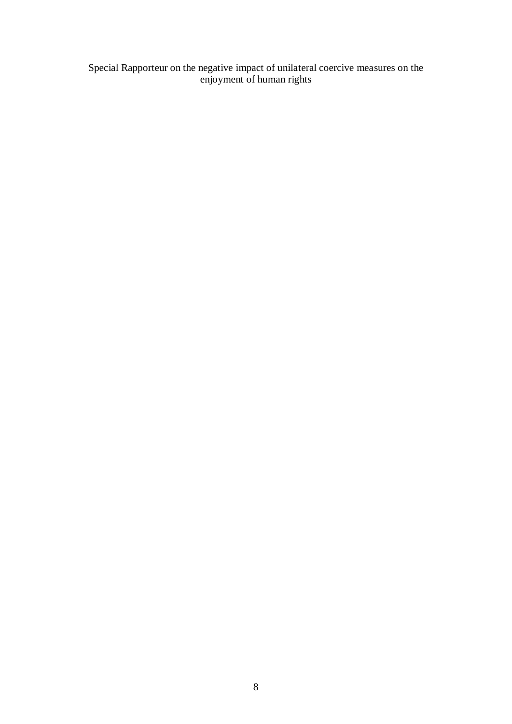Special Rapporteur on the negative impact of unilateral coercive measures on the enjoyment of human rights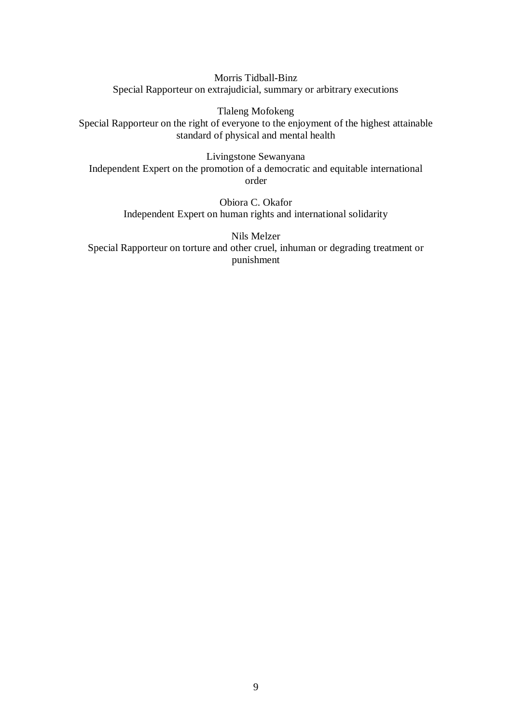Morris Tidball-Binz Special Rapporteur on extrajudicial, summary or arbitrary executions

Tlaleng Mofokeng Special Rapporteur on the right of everyone to the enjoyment of the highest attainable standard of physical and mental health

Livingstone Sewanyana Independent Expert on the promotion of a democratic and equitable international order

> Obiora C. Okafor Independent Expert on human rights and international solidarity

Nils Melzer Special Rapporteur on torture and other cruel, inhuman or degrading treatment or punishment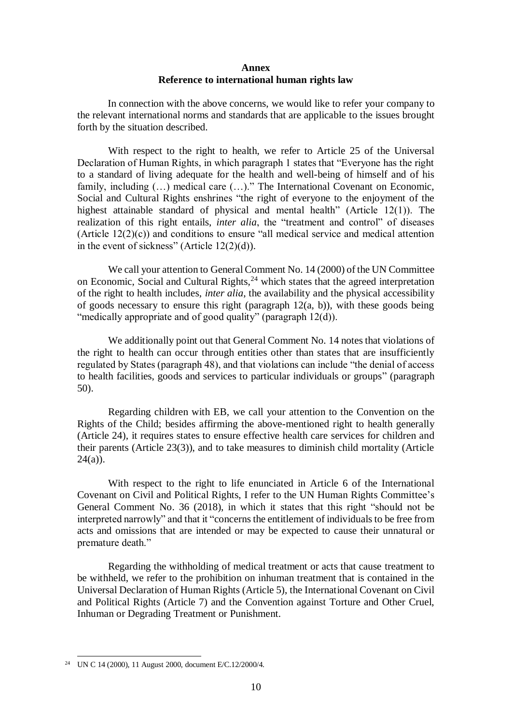## **Annex Reference to international human rights law**

In connection with the above concerns, we would like to refer your company to the relevant international norms and standards that are applicable to the issues brought forth by the situation described.

With respect to the right to health, we refer to Article 25 of the Universal Declaration of Human Rights, in which paragraph 1 states that "Everyone has the right to a standard of living adequate for the health and well-being of himself and of his family, including  $(...)$  medical care  $(...)$ ." The International Covenant on Economic, Social and Cultural Rights enshrines "the right of everyone to the enjoyment of the highest attainable standard of physical and mental health" (Article 12(1)). The realization of this right entails, *inter alia*, the "treatment and control" of diseases (Article  $12(2)(c)$ ) and conditions to ensure "all medical service and medical attention in the event of sickness" (Article 12(2)(d)).

We call your attention to General Comment No. 14 (2000) of the UN Committee on Economic, Social and Cultural Rights,<sup>24</sup> which states that the agreed interpretation of the right to health includes, *inter alia*, the availability and the physical accessibility of goods necessary to ensure this right (paragraph 12(a, b)), with these goods being "medically appropriate and of good quality" (paragraph 12(d)).

We additionally point out that General Comment No. 14 notes that violations of the right to health can occur through entities other than states that are insufficiently regulated by States (paragraph 48), and that violations can include "the denial of access to health facilities, goods and services to particular individuals or groups" (paragraph 50).

Regarding children with EB, we call your attention to the Convention on the Rights of the Child; besides affirming the above-mentioned right to health generally (Article 24), it requires states to ensure effective health care services for children and their parents (Article 23(3)), and to take measures to diminish child mortality (Article  $24(a)$ ).

With respect to the right to life enunciated in Article 6 of the International Covenant on Civil and Political Rights, I refer to the UN Human Rights Committee's General Comment No. 36 (2018), in which it states that this right "should not be interpreted narrowly" and that it "concerns the entitlement of individuals to be free from acts and omissions that are intended or may be expected to cause their unnatural or premature death."

Regarding the withholding of medical treatment or acts that cause treatment to be withheld, we refer to the prohibition on inhuman treatment that is contained in the Universal Declaration of Human Rights (Article 5), the International Covenant on Civil and Political Rights (Article 7) and the Convention against Torture and Other Cruel, Inhuman or Degrading Treatment or Punishment.

l <sup>24</sup> UN C 14 (2000), 11 August 2000, document E/C.12/2000/4.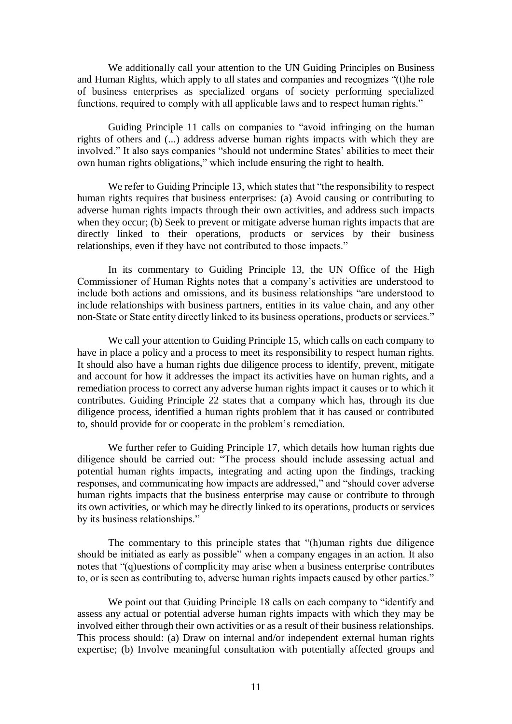We additionally call your attention to the UN Guiding Principles on Business and Human Rights, which apply to all states and companies and recognizes "(t)he role of business enterprises as specialized organs of society performing specialized functions, required to comply with all applicable laws and to respect human rights."

Guiding Principle 11 calls on companies to "avoid infringing on the human rights of others and (...) address adverse human rights impacts with which they are involved." It also says companies "should not undermine States' abilities to meet their own human rights obligations," which include ensuring the right to health.

We refer to Guiding Principle 13, which states that "the responsibility to respect human rights requires that business enterprises: (a) Avoid causing or contributing to adverse human rights impacts through their own activities, and address such impacts when they occur; (b) Seek to prevent or mitigate adverse human rights impacts that are directly linked to their operations, products or services by their business relationships, even if they have not contributed to those impacts."

In its commentary to Guiding Principle 13, the UN Office of the High Commissioner of Human Rights notes that a company's activities are understood to include both actions and omissions, and its business relationships "are understood to include relationships with business partners, entities in its value chain, and any other non-State or State entity directly linked to its business operations, products or services."

We call your attention to Guiding Principle 15, which calls on each company to have in place a policy and a process to meet its responsibility to respect human rights. It should also have a human rights due diligence process to identify, prevent, mitigate and account for how it addresses the impact its activities have on human rights, and a remediation process to correct any adverse human rights impact it causes or to which it contributes. Guiding Principle 22 states that a company which has, through its due diligence process, identified a human rights problem that it has caused or contributed to, should provide for or cooperate in the problem's remediation.

We further refer to Guiding Principle 17, which details how human rights due diligence should be carried out: "The process should include assessing actual and potential human rights impacts, integrating and acting upon the findings, tracking responses, and communicating how impacts are addressed," and "should cover adverse human rights impacts that the business enterprise may cause or contribute to through its own activities, or which may be directly linked to its operations, products or services by its business relationships."

The commentary to this principle states that "(h)uman rights due diligence should be initiated as early as possible" when a company engages in an action. It also notes that "(q)uestions of complicity may arise when a business enterprise contributes to, or is seen as contributing to, adverse human rights impacts caused by other parties."

We point out that Guiding Principle 18 calls on each company to "identify and assess any actual or potential adverse human rights impacts with which they may be involved either through their own activities or as a result of their business relationships. This process should: (a) Draw on internal and/or independent external human rights expertise; (b) Involve meaningful consultation with potentially affected groups and